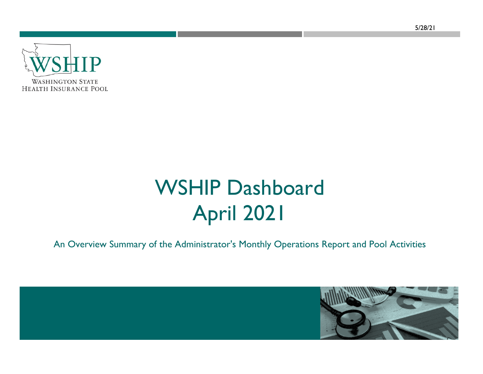**WASHINGTON STATE HEALTH INSURANCE POOL** 

# WSHIP Dashboard April 2021

An Overview Summary of the Administrator's Monthly Operations Report and Pool Activities

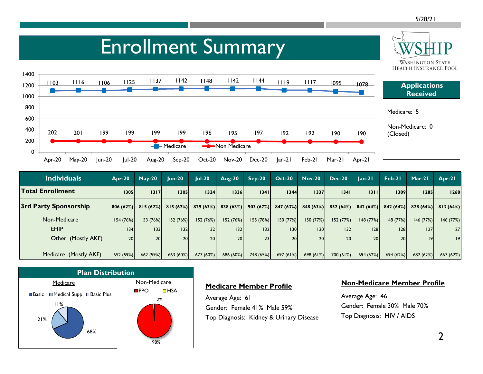**WASHINGTON STATE** 

### Enrollment Summary



| <b>Individuals</b>      | $Apr-20$        | $May-20$        | $lun-20$  | $ ul-20 $ | <b>Aug-20</b> | $Sep-20$  | $Oct-20$        | $Nov-20$         | <b>Dec-20</b> | $lan-2l$ | Feb-21          | $Mar-21$  | $Arr-21$  |
|-------------------------|-----------------|-----------------|-----------|-----------|---------------|-----------|-----------------|------------------|---------------|----------|-----------------|-----------|-----------|
| <b>Total Enrollment</b> | 1305            | 1317            | 1305      | 1324      | 1336          | 1341      | 1344            | 1337             | 1341          | 1311     | 1309            | 1285      | 1268      |
| 3rd Party Sponsorship   | 806(62%)        | 815(62%)        | 815(62%)  | 829(63%)  | 838 (63%)     | 903(67%)  | 847(63%)        | 848(63%)         | 852(64%)      | 842(64%) | 842 (64%)       | 828(64%)  | 813 (64%) |
| Non-Medicare            | 154(76%)        | 153(76%)        | 152(76%)  | 152(76%)  | 152 (76%)     | 155 (78%) | 150(77%)        | 150 (77%)        | 152(77%)      | 148(77%) | 148(77%)        | 146(77%)  | 146 (77%) |
| <b>EHIP</b>             | 34              | 133             | 32        | 132       | 132           | 32        | 130             | 130 <sup>1</sup> | 32            | 28       | 28              | 127       | 127       |
| Other (Mostly AKF)      | 20 <sup>1</sup> | 20 <sup>1</sup> | 20        | <b>20</b> | 20            | 23        | 20 <sup>1</sup> | 20 <sup>1</sup>  | <b>20</b>     | 20       | 20 <sup>1</sup> | 9         | 9         |
|                         |                 |                 |           |           |               |           |                 |                  |               |          |                 |           |           |
| Medicare (Mostly AKF)   | 652(59%)        | 662 (59%)       | 663 (60%) | 677(60%)  | 686 (60%)     | 748 (65%) | 697(61%)        | 698 (61%)        | 700(61%)      | 694(62%) | 694(62%)        | 682 (62%) | 667 (62%) |



#### **Medicare Member Profile**

Average Age: 61 Gender: Female 41% Male 59% Top Diagnosis: Kidney & Urinary Disease

#### **Non-Medicare Member Profile**

Average Age: 46 Gender: Female 30% Male 70% Top Diagnosis: HIV / AIDS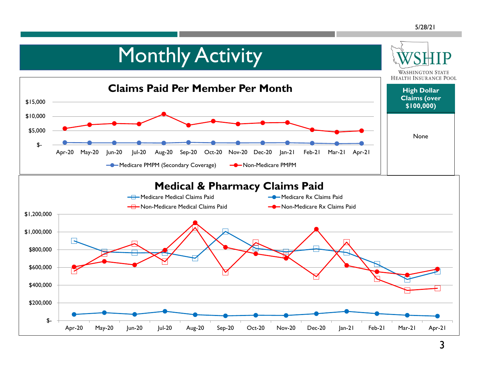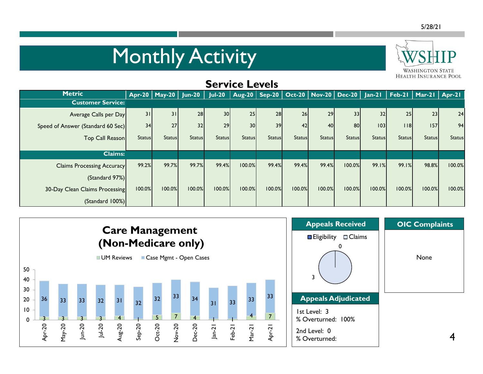# Monthly Activity



| <b>Service Levels</b>             |               |                          |               |                 |                 |               |               |               |               |               |               |                                                                                         |               |
|-----------------------------------|---------------|--------------------------|---------------|-----------------|-----------------|---------------|---------------|---------------|---------------|---------------|---------------|-----------------------------------------------------------------------------------------|---------------|
| <b>Metric</b>                     |               | Apr-20   May-20   Jun-20 |               |                 |                 |               |               |               |               |               |               | Jul-20   Aug-20   Sep-20   Oct-20   Nov-20   Dec-20   Jan-21   Feb-21   Mar-21   Apr-21 |               |
| <b>Customer Service:</b>          |               |                          |               |                 |                 |               |               |               |               |               |               |                                                                                         |               |
| Average Calls per Day             | 31            | 31                       | 28            | 30 <sup>1</sup> | 25              | 28            | 26            | 29            | 33            | 32            | 25            | 23                                                                                      | 24            |
| Speed of Answer (Standard 60 Sec) | 34            | 27                       | 32            | 29              | 30 <sup>1</sup> | 39            | 42            | 40            | 80            | 03            | 18            | 157                                                                                     | 94            |
| Top Call Reason                   | <b>Status</b> | <b>Status</b>            | <b>Status</b> | <b>Status</b>   | <b>Status</b>   | <b>Status</b> | <b>Status</b> | <b>Status</b> | <b>Status</b> | <b>Status</b> | <b>Status</b> | <b>Status</b>                                                                           | <b>Status</b> |
| <b>Claims:</b>                    |               |                          |               |                 |                 |               |               |               |               |               |               |                                                                                         |               |
| <b>Claims Processing Accuracy</b> | 99.2%         | 99.7%                    | 99.7%         | 99.4%           | 100.0%          | 99.4%         | 99.4%         | 99.4%         | 100.0%        | 99.1%         | 99.1%         | 98.8%                                                                                   | 100.0%        |
| (Standard 97%)                    |               |                          |               |                 |                 |               |               |               |               |               |               |                                                                                         |               |
| 30-Day Clean Claims Processing    | 100.0%        | 100.0%                   | 100.0%        | 100.0%          | 100.0%          | 100.0%        | 100.0%        | 100.0%        | 100.0%        | 100.0%        | 100.0%        | 100.0%                                                                                  | 100.0%        |
| (Standard 100%)                   |               |                          |               |                 |                 |               |               |               |               |               |               |                                                                                         |               |